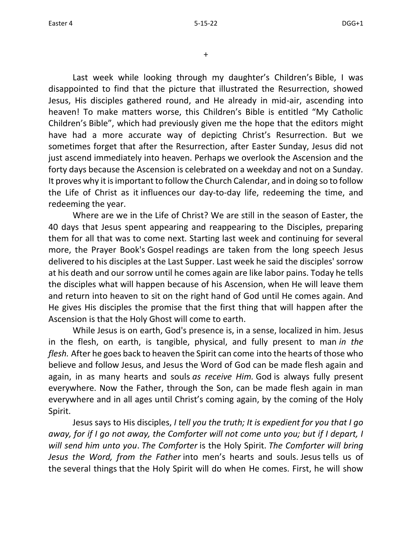+

Last week while looking through my daughter's Children's Bible, I was disappointed to find that the picture that illustrated the Resurrection, showed Jesus, His disciples gathered round, and He already in mid-air, ascending into heaven! To make matters worse, this Children's Bible is entitled "My Catholic Children's Bible", which had previously given me the hope that the editors might have had a more accurate way of depicting Christ's Resurrection. But we sometimes forget that after the Resurrection, after Easter Sunday, Jesus did not just ascend immediately into heaven. Perhaps we overlook the Ascension and the forty days because the Ascension is celebrated on a weekday and not on a Sunday. It proves why it is important to follow the Church Calendar, and in doing so to follow the Life of Christ as it influences our day-to-day life, redeeming the time, and redeeming the year.

Where are we in the Life of Christ? We are still in the season of Easter, the 40 days that Jesus spent appearing and reappearing to the Disciples, preparing them for all that was to come next. Starting last week and continuing for several more, the Prayer Book's Gospel readings are taken from the long speech Jesus delivered to his disciples at the Last Supper. Last week he said the disciples' sorrow at his death and our sorrow until he comes again are like labor pains. Today he tells the disciples what will happen because of his Ascension, when He will leave them and return into heaven to sit on the right hand of God until He comes again. And He gives His disciples the promise that the first thing that will happen after the Ascension is that the Holy Ghost will come to earth.

While Jesus is on earth, God's presence is, in a sense, localized in him. Jesus in the flesh, on earth, is tangible, physical, and fully present to man *in the flesh.* After he goes back to heaven the Spirit can come into the hearts of those who believe and follow Jesus, and Jesus the Word of God can be made flesh again and again, in as many hearts and souls *as receive Him.* God is always fully present everywhere. Now the Father, through the Son, can be made flesh again in man everywhere and in all ages until Christ's coming again, by the coming of the Holy Spirit.

Jesus says to His disciples, *I tell you the truth; It is expedient for you that I go away, for if I go not away, the Comforter will not come unto you; but if I depart, I will send him unto you*. *The Comforter* is the Holy Spirit. *The Comforter will bring Jesus the Word, from the Father* into men's hearts and souls. Jesus tells us of the several things that the Holy Spirit will do when He comes. First, he will show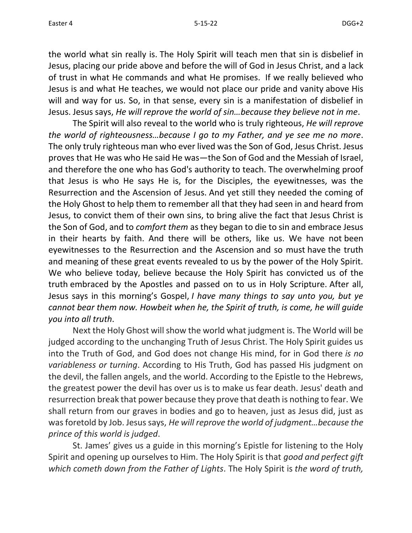the world what sin really is. The Holy Spirit will teach men that sin is disbelief in Jesus, placing our pride above and before the will of God in Jesus Christ, and a lack of trust in what He commands and what He promises. If we really believed who Jesus is and what He teaches, we would not place our pride and vanity above His will and way for us. So, in that sense, every sin is a manifestation of disbelief in Jesus. Jesus says, *He will reprove the world of sin…because they believe not in me*.

The Spirit will also reveal to the world who is truly righteous, *He will reprove the world of righteousness…because I go to my Father, and ye see me no more*. The only truly righteous man who ever lived was the Son of God, Jesus Christ. Jesus proves that He was who He said He was—the Son of God and the Messiah of Israel, and therefore the one who has God's authority to teach. The overwhelming proof that Jesus is who He says He is, for the Disciples, the eyewitnesses, was the Resurrection and the Ascension of Jesus. And yet still they needed the coming of the Holy Ghost to help them to remember all that they had seen in and heard from Jesus, to convict them of their own sins, to bring alive the fact that Jesus Christ is the Son of God, and to *comfort them* as they began to die to sin and embrace Jesus in their hearts by faith. And there will be others, like us. We have not been eyewitnesses to the Resurrection and the Ascension and so must have the truth and meaning of these great events revealed to us by the power of the Holy Spirit. We who believe today, believe because the Holy Spirit has convicted us of the truth embraced by the Apostles and passed on to us in Holy Scripture. After all, Jesus says in this morning's Gospel, *I have many things to say unto you, but ye cannot bear them now. Howbeit when he, the Spirit of truth, is come, he will guide you into all truth*.

Next the Holy Ghost will show the world what judgment is. The World will be judged according to the unchanging Truth of Jesus Christ. The Holy Spirit guides us into the Truth of God, and God does not change His mind, for in God there *is no variableness or turning*. According to His Truth, God has passed His judgment on the devil, the fallen angels, and the world. According to the Epistle to the Hebrews, the greatest power the devil has over us is to make us fear death. Jesus' death and resurrection break that power because they prove that death is nothing to fear. We shall return from our graves in bodies and go to heaven, just as Jesus did, just as was foretold by Job. Jesus says, *He will reprove the world of judgment…because the prince of this world is judged*.

St. James' gives us a guide in this morning's Epistle for listening to the Holy Spirit and opening up ourselves to Him. The Holy Spirit is that *good and perfect gift which cometh down from the Father of Lights*. The Holy Spirit is *the word of truth,*